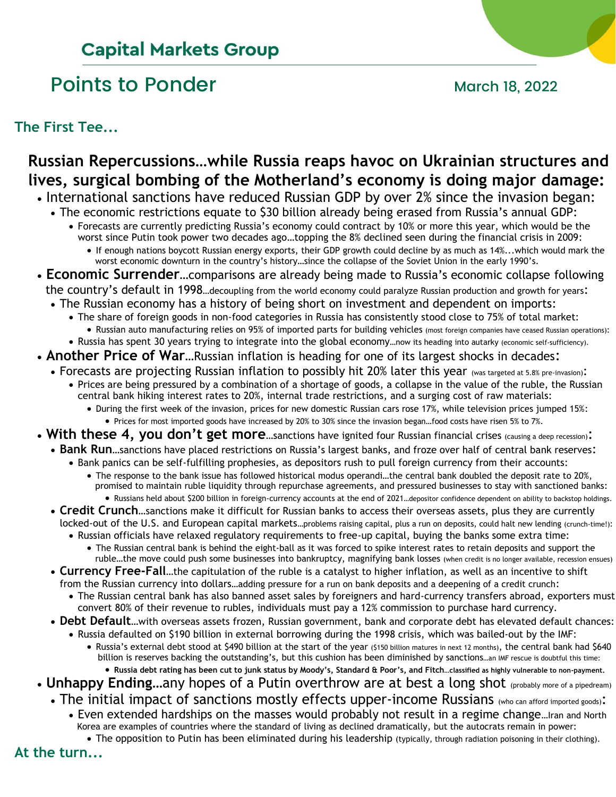# **Capital Markets Group**

# Points to Ponder March 18, 2022

**The First Tee...**

### **Russian Repercussions…while Russia reaps havoc on Ukrainian structures and lives, surgical bombing of the Motherland's economy is doing major damage:**

- International sanctions have reduced Russian GDP by over 2% since the invasion began:
	- The economic restrictions equate to \$30 billion already being erased from Russia's annual GDP: • Forecasts are currently predicting Russia's economy could contract by 10% or more this year, which would be the worst since Putin took power two decades ago…topping the 8% declined seen during the financial crisis in 2009:
		- If enough nations boycott Russian energy exports, their GDP growth could decline by as much as 14%...which would mark the worst economic downturn in the country's history…since the collapse of the Soviet Union in the early 1990's.
- **Economic Surrender…**comparisons are already being made to Russia's economic collapse following the country's default in 1998…decoupling from the world economy could paralyze Russian production and growth for years:
	- The Russian economy has a history of being short on investment and dependent on imports:
		- The share of foreign goods in non-food categories in Russia has consistently stood close to 75% of total market: • Russian auto manufacturing relies on 95% of imported parts for building vehicles (most foreign companies have ceased Russian operations):
		- Russia has spent 30 years trying to integrate into the global economy…now its heading into autarky (economic self-sufficiency).
- **Another Price of War**…Russian inflation is heading for one of its largest shocks in decades:
	- Forecasts are projecting Russian inflation to possibly hit 20% later this year (was targeted at 5.8% pre-invasion): • Prices are being pressured by a combination of a shortage of goods, a collapse in the value of the ruble, the Russian
		- central bank hiking interest rates to 20%, internal trade restrictions, and a surging cost of raw materials: • During the first week of the invasion, prices for new domestic Russian cars rose 17%, while television prices jumped 15%:
			- Prices for most imported goods have increased by 20% to 30% since the invasion began...food costs have risen 5% to 7%.
- With these 4, you don't get more...sanctions have ignited four Russian financial crises (causing a deep recession):
	- **Bank Run**…sanctions have placed restrictions on Russia's largest banks, and froze over half of central bank reserves:
		- Bank panics can be self-fulfilling prophesies, as depositors rush to pull foreign currency from their accounts: • The response to the bank issue has followed historical modus operandi…the central bank doubled the deposit rate to 20%, promised to maintain ruble liquidity through repurchase agreements, and pressured businesses to stay with sanctioned banks: • Russians held about \$200 billion in foreign-currency accounts at the end of 2021…depositor confidence dependent on ability to backstop holdings.
	- **Credit Crunch**…sanctions make it difficult for Russian banks to access their overseas assets, plus they are currently locked-out of the U.S. and European capital markets…problems raising capital, plus a run on deposits, could halt new lending (crunch-time!):
		- Russian officials have relaxed regulatory requirements to free-up capital, buying the banks some extra time: • The Russian central bank is behind the eight-ball as it was forced to spike interest rates to retain deposits and support the
	- ruble…the move could push some businesses into bankruptcy, magnifying bank losses (when credit is no longer available, recession ensues) • **Currency Free-Fall**…the capitulation of the ruble is a catalyst to higher inflation, as well as an incentive to shift
	- from the Russian currency into dollars…adding pressure for a run on bank deposits and a deepening of a credit crunch:
		- The Russian central bank has also banned asset sales by foreigners and hard-currency transfers abroad, exporters must convert 80% of their revenue to rubles, individuals must pay a 12% commission to purchase hard currency.
	- **Debt Default**…with overseas assets frozen, Russian government, bank and corporate debt has elevated default chances:
		- Russia defaulted on \$190 billion in external borrowing during the 1998 crisis, which was bailed-out by the IMF:
			- Russia's external debt stood at \$490 billion at the start of the year (\$150 billion matures in next 12 months), the central bank had \$640 billion is reserves backing the outstanding's, but this cushion has been diminished by sanctions…an IMF rescue is doubtful this time: • **Russia debt rating has been cut to junk status by Moody's, Standard & Poor's, and Fitch…classified as highly vulnerable to non-payment.**
- Unhappy Ending...any hopes of a Putin overthrow are at best a long shot (probably more of a pipedream)
	- The initial impact of sanctions mostly effects upper-income Russians (who can afford imported goods):
		- Even extended hardships on the masses would probably not result in a regime change…Iran and North Korea are examples of countries where the standard of living as declined dramatically, but the autocrats remain in power:
			- The opposition to Putin has been eliminated during his leadership (typically, through radiation poisoning in their clothing).

**At the turn...**